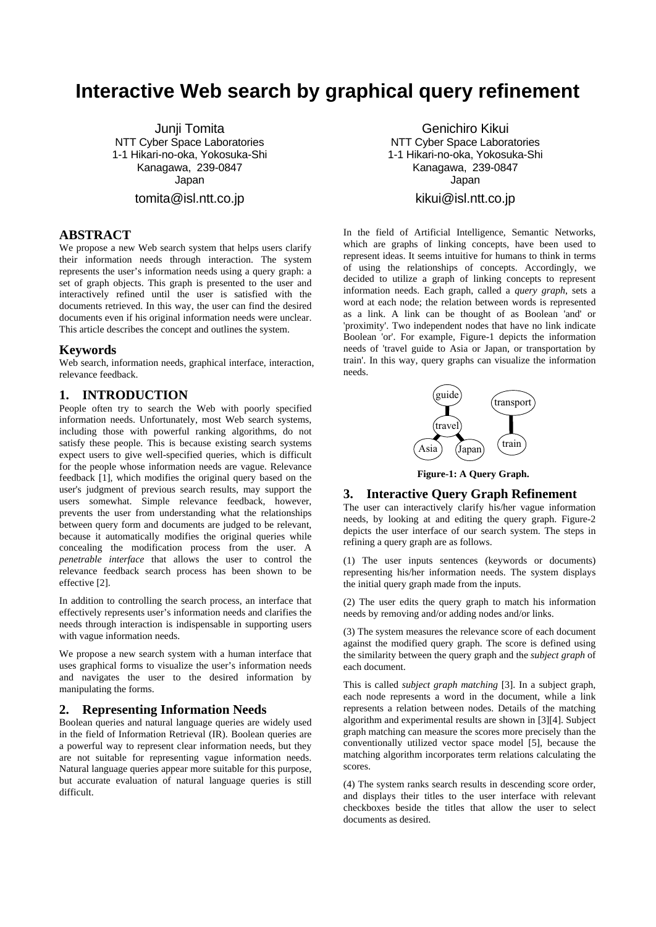# **Interactive Web search by graphical query refinement**

Junji Tomita NTT Cyber Space Laboratories 1-1 Hikari-no-oka, Yokosuka-Shi Kanagawa, 239-0847 Japan

tomita@isl.ntt.co.jp

## **ABSTRACT**

We propose a new Web search system that helps users clarify their information needs through interaction. The system represents the user's information needs using a query graph: a set of graph objects. This graph is presented to the user and interactively refined until the user is satisfied with the documents retrieved. In this way, the user can find the desired documents even if his original information needs were unclear. This article describes the concept and outlines the system.

# **Keywords**

Web search, information needs, graphical interface, interaction, relevance feedback.

### **1. INTRODUCTION**

People often try to search the Web with poorly specified information needs. Unfortunately, most Web search systems, including those with powerful ranking algorithms, do not satisfy these people. This is because existing search systems expect users to give well-specified queries, which is difficult for the people whose information needs are vague. Relevance feedback [1], which modifies the original query based on the user's judgment of previous search results, may support the users somewhat. Simple relevance feedback, however, prevents the user from understanding what the relationships between query form and documents are judged to be relevant, because it automatically modifies the original queries while concealing the modification process from the user. A *penetrable interface* that allows the user to control the relevance feedback search process has been shown to be effective [2].

In addition to controlling the search process, an interface that effectively represents user's information needs and clarifies the needs through interaction is indispensable in supporting users with vague information needs.

We propose a new search system with a human interface that uses graphical forms to visualize the user's information needs and navigates the user to the desired information by manipulating the forms.

#### **2. Representing Information Needs**

Boolean queries and natural language queries are widely used in the field of Information Retrieval (IR). Boolean queries are a powerful way to represent clear information needs, but they are not suitable for representing vague information needs. Natural language queries appear more suitable for this purpose, but accurate evaluation of natural language queries is still difficult.

Genichiro Kikui NTT Cyber Space Laboratories 1-1 Hikari-no-oka, Yokosuka-Shi Kanagawa, 239-0847 Japan

# kikui@isl.ntt.co.jp

In the field of Artificial Intelligence, Semantic Networks, which are graphs of linking concepts, have been used to represent ideas. It seems intuitive for humans to think in terms of using the relationships of concepts. Accordingly, we decided to utilize a graph of linking concepts to represent information needs. Each graph, called a *query graph*, sets a word at each node; the relation between words is represented as a link. A link can be thought of as Boolean 'and' or 'proximity'. Two independent nodes that have no link indicate Boolean 'or'. For example, Figure-1 depicts the information needs of 'travel guide to Asia or Japan, or transportation by train'. In this way, query graphs can visualize the information needs.



**Figure-1: A Query Graph.**

#### **3. Interactive Query Graph Refinement**

The user can interactively clarify his/her vague information needs, by looking at and editing the query graph. Figure-2 depicts the user interface of our search system. The steps in refining a query graph are as follows.

(1) The user inputs sentences (keywords or documents) representing his/her information needs. The system displays the initial query graph made from the inputs.

(2) The user edits the query graph to match his information needs by removing and/or adding nodes and/or links.

(3) The system measures the relevance score of each document against the modified query graph. The score is defined using the similarity between the query graph and the *subject graph* of each document.

This is called *subject graph matching* [3]. In a subject graph, each node represents a word in the document, while a link represents a relation between nodes. Details of the matching algorithm and experimental results are shown in [3][4]. Subject graph matching can measure the scores more precisely than the conventionally utilized vector space model [5], because the matching algorithm incorporates term relations calculating the scores.

(4) The system ranks search results in descending score order, and displays their titles to the user interface with relevant checkboxes beside the titles that allow the user to select documents as desired.